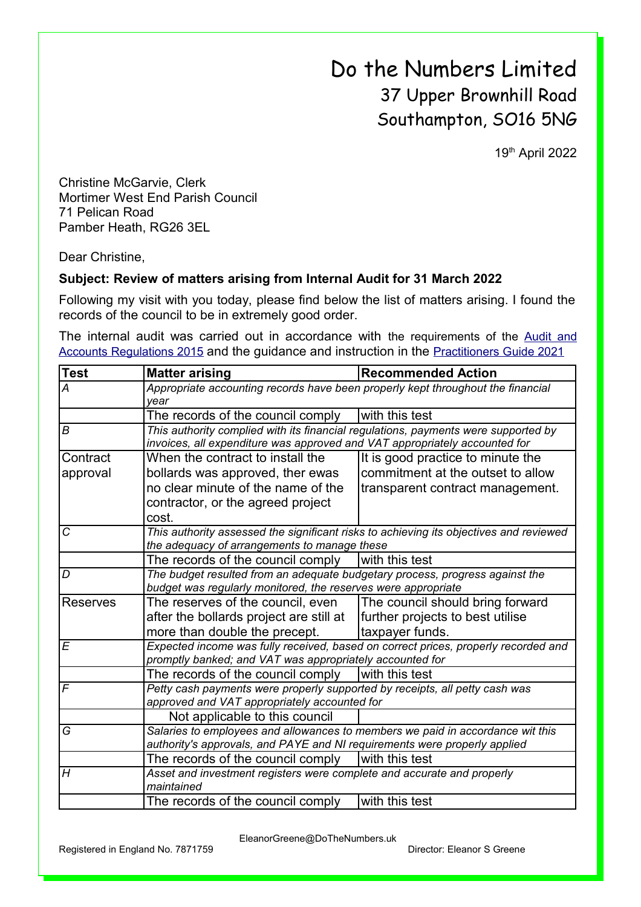Do the Numbers Limited 37 Upper Brownhill Road Southampton, SO16 5NG

19th April 2022

Christine McGarvie, Clerk Mortimer West End Parish Council 71 Pelican Road Pamber Heath, RG26 3EL

Dear Christine,

## **Subject: Review of matters arising from Internal Audit for 31 March 2022**

Following my visit with you today, please find below the list of matters arising. I found the records of the council to be in extremely good order.

The internal audit was carried out in accordance with the requirements of the [Audit and](https://www.legislation.gov.uk/uksi/2015/234/contents/made) [Accounts Regulations 2015](https://www.legislation.gov.uk/uksi/2015/234/contents/made) and the guidance and instruction in the [Practitioners Guide 2021](https://www.nalc.gov.uk/library/our-work/jpag/3479-practitioners-guide-2021/file)

| <b>Test</b>     | <b>Matter arising</b>                                                                                                                                       | <b>Recommended Action</b>         |  |
|-----------------|-------------------------------------------------------------------------------------------------------------------------------------------------------------|-----------------------------------|--|
| А               | Appropriate accounting records have been properly kept throughout the financial                                                                             |                                   |  |
|                 | year                                                                                                                                                        |                                   |  |
|                 | The records of the council comply                                                                                                                           | with this test                    |  |
| B               | This authority complied with its financial regulations, payments were supported by                                                                          |                                   |  |
|                 | invoices, all expenditure was approved and VAT appropriately accounted for                                                                                  |                                   |  |
| Contract        | When the contract to install the                                                                                                                            | It is good practice to minute the |  |
| approval        | bollards was approved, ther ewas                                                                                                                            | commitment at the outset to allow |  |
|                 | no clear minute of the name of the                                                                                                                          | transparent contract management.  |  |
|                 | contractor, or the agreed project                                                                                                                           |                                   |  |
|                 | cost.                                                                                                                                                       |                                   |  |
| C               | This authority assessed the significant risks to achieving its objectives and reviewed                                                                      |                                   |  |
|                 | the adequacy of arrangements to manage these                                                                                                                |                                   |  |
|                 | The records of the council comply                                                                                                                           | with this test                    |  |
| D               | The budget resulted from an adequate budgetary process, progress against the                                                                                |                                   |  |
|                 | budget was regularly monitored, the reserves were appropriate                                                                                               |                                   |  |
| <b>Reserves</b> | The reserves of the council, even                                                                                                                           | The council should bring forward  |  |
|                 | after the bollards project are still at                                                                                                                     | further projects to best utilise  |  |
|                 | more than double the precept.                                                                                                                               | taxpayer funds.                   |  |
| E               | Expected income was fully received, based on correct prices, properly recorded and                                                                          |                                   |  |
|                 | promptly banked; and VAT was appropriately accounted for                                                                                                    |                                   |  |
|                 | The records of the council comply                                                                                                                           | with this test                    |  |
| F               | Petty cash payments were properly supported by receipts, all petty cash was                                                                                 |                                   |  |
|                 | approved and VAT appropriately accounted for                                                                                                                |                                   |  |
|                 | Not applicable to this council                                                                                                                              |                                   |  |
| G               | Salaries to employees and allowances to members we paid in accordance wit this<br>authority's approvals, and PAYE and NI requirements were properly applied |                                   |  |
|                 |                                                                                                                                                             |                                   |  |
|                 | The records of the council comply                                                                                                                           | with this test                    |  |
| H               | Asset and investment registers were complete and accurate and properly<br>maintained                                                                        |                                   |  |
|                 | The records of the council comply                                                                                                                           | with this test                    |  |

EleanorGreene@DoTheNumbers.uk

Registered in England No. 7871759 Director: Eleanor S Greene